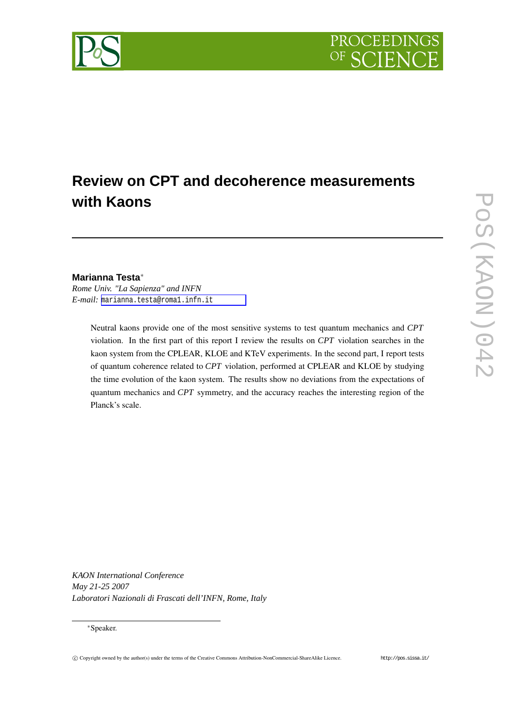# **Review on CPT and decoherence measurements with Kaons**

# **Marianna Testa**∗

*Rome Univ. "La Sapienza" and INFN E-mail:* [marianna.testa@roma1.infn.it](mailto:marianna.testa@roma1.infn.it)

> Neutral kaons provide one of the most sensitive systems to test quantum mechanics and *CPT* violation. In the first part of this report I review the results on *CPT* violation searches in the kaon system from the CPLEAR, KLOE and KTeV experiments. In the second part, I report tests of quantum coherence related to *CPT* violation, performed at CPLEAR and KLOE by studying the time evolution of the kaon system. The results show no deviations from the expectations of quantum mechanics and *CPT* symmetry, and the accuracy reaches the interesting region of the Planck's scale.

*KAON International Conference May 21-25 2007 Laboratori Nazionali di Frascati dell'INFN, Rome, Italy*

### ∗Speaker.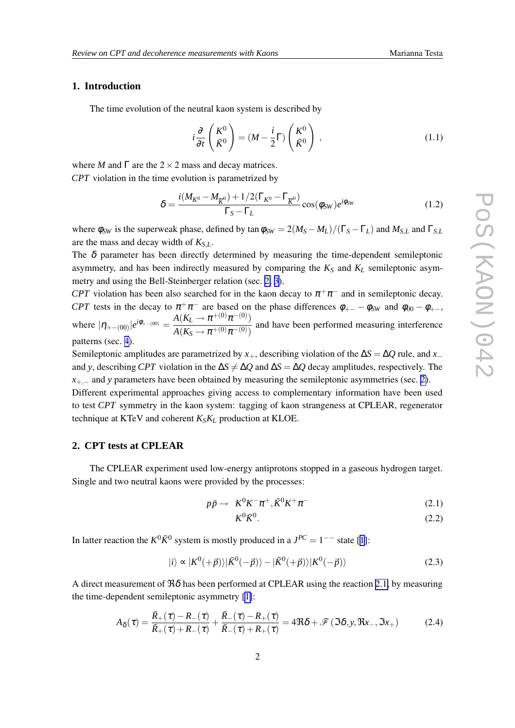## <span id="page-1-0"></span>**1. Introduction**

The time evolution of the neutral kaon system is described by

$$
i\frac{\partial}{\partial t}\left(\frac{K^0}{\bar{K}^0}\right) = (M - \frac{i}{2}\Gamma)\left(\frac{K^0}{\bar{K}^0}\right) ,\qquad (1.1)
$$

where *M* and  $\Gamma$  are the 2  $\times$  2 mass and decay matrices. *CPT* violation in the time evolution is parametrized by

$$
\delta = \frac{i(M_{K^0} - M_{\overline{K}^0}) + 1/2(\Gamma_{K^0} - \Gamma_{\overline{K}^0})}{\Gamma_S - \Gamma_L} \cos(\phi_{SW}) e^{i\phi_{SW}}
$$
(1.2)

where  $\phi_{SW}$  is the superweak phase, defined by tan  $\phi_{SW} = 2(M_S - M_L)/(\Gamma_S - \Gamma_L)$  and  $M_{S,L}$  and  $\Gamma_{S,L}$ are the mass and decay width of *KS*,*L*.

The  $\delta$  parameter has been directly determined by measuring the time-dependent semileptonic asymmetry, and has been indirectly measured by comparing the  $K_S$  and  $K_L$  semileptonic asymmetry and using the Bell-Steinberger relation (sec. 2, [3](#page-2-0)).

*CPT* violation has been also searched for in the kaon decay to  $\pi^+\pi^-$  and in semileptonic decay. *CPT* tests in the decay to  $\pi^+\pi^-$  are based on the phase differences  $\phi_{+-} - \phi_{SW}$  and  $\phi_{00} - \phi_{+-}$ , where  $|\eta_{+-(00)}|e^{i\phi_{+-(00)}} = \frac{A(K_L \to \pi^{+(0)}\pi^{-(0)})}{A(K_S \to \pi^{+(0)}\pi^{-(0)})}$  $A(K_S \to \pi^{+(0)} \pi^{-(0)})$  and have been performed measuring interference patterns (sec. [4\)](#page-4-0).

Semileptonic amplitudes are parametrized by *x*+, describing violation of the ∆*S* = ∆*Q* rule, and *x*<sup>−</sup> and *y*, describing *CPT* violation in the  $\Delta S \neq \Delta Q$  and  $\Delta S = \Delta Q$  decay amplitudes, respectively. The  $x_{+-}$  and *y* parameters have been obtained by measuring the semileptonic asymmetries (sec. 2).

Different experimental approaches giving access to complementary information have been used to test *CPT* symmetry in the kaon system: tagging of kaon strangeness at CPLEAR, regenerator technique at KTeV and coherent  $K_S K_L$  production at KLOE.

# **2. CPT tests at CPLEAR**

The CPLEAR experiment used low-energy antiprotons stopped in a gaseous hydrogen target. Single and two neutral kaons were provided by the processes:

$$
p\bar{p} \to K^0 K^- \pi^+, \bar{K}^0 K^+ \pi^- \tag{2.1}
$$

$$
K^0 \bar{K}^0. \tag{2.2}
$$

In latter reaction the  $K^0 \overline{K}^0$  system is mostly produced in a  $J^{PC} = 1^{--}$  $J^{PC} = 1^{--}$  $J^{PC} = 1^{--}$  state [1]:

$$
|i\rangle \propto |K^{0}(+\vec{p})\rangle |\bar{K}^{0}(-\vec{p})\rangle - |\bar{K}^{0}(+\vec{p})\rangle |K^{0}(-\vec{p})\rangle
$$
 (2.3)

A direct measurement of  $\Re\delta$  has been performed at CPLEAR using the reaction 2.1, by measuring the time-dependent semileptonic asymmetry [\[1\]](#page-8-0):

$$
A_{\delta}(\tau) = \frac{\bar{R}_{+}(\tau) - R_{-}(\tau)}{\bar{R}_{+}(\tau) + R_{-}(\tau)} + \frac{\bar{R}_{-}(\tau) - R_{+}(\tau)}{\bar{R}_{-}(\tau) + R_{+}(\tau)} = 4\Re\delta + \mathscr{F}(\Im\delta, y, \Re x_{-}, \Im x_{+})
$$
(2.4)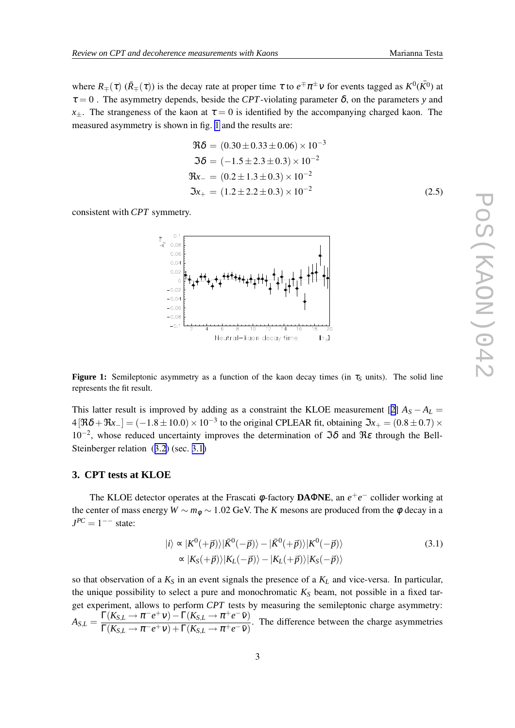<span id="page-2-0"></span>where  $R_{\mp}(\tau)$  ( $\bar{R}_{\mp}(\tau)$ ) is the decay rate at proper time  $\tau$  to  $e^{\mp}\pi^{\pm}\nu$  for events tagged as  $K^0(\bar{K^0})$  at  $\tau = 0$ . The asymmetry depends, beside the *CPT*-violating parameter  $\delta$ , on the parameters *y* and *x*+. The strangeness of the kaon at  $\tau = 0$  is identified by the accompanying charged kaon. The measured asymmetry is shown in fig. 1 and the results are:

$$
\mathfrak{R}\delta = (0.30 \pm 0.33 \pm 0.06) \times 10^{-3}
$$
  
\n
$$
\mathfrak{Z}\delta = (-1.5 \pm 2.3 \pm 0.3) \times 10^{-2}
$$
  
\n
$$
\mathfrak{R}x = (0.2 \pm 1.3 \pm 0.3) \times 10^{-2}
$$
  
\n
$$
\mathfrak{Z}x_{+} = (1.2 \pm 2.2 \pm 0.3) \times 10^{-2}
$$
\n(2.5)

consistent with *CPT* symmetry.



**Figure 1:** Semileptonic asymmetry as a function of the kaon decay times (in  $\tau_s$  units). The solid line represents the fit result.

This latter result is improved by adding as a constraint the KLOE measurement [[2\]](#page-8-0)  $A<sub>S</sub> - A<sub>L</sub> =$  $4[\Re\delta + \Re x_{-}] = (-1.8 \pm 10.0) \times 10^{-3}$  to the original CPLEAR fit, obtaining  $\Im x_{+} = (0.8 \pm 0.7) \times$ 10<sup>-2</sup>, whose reduced uncertainty improves the determination of  $\Im\delta$  and  $\Re\epsilon$  through the Bell-Steinberger relation ([3.2](#page-3-0)) (sec. [3.1](#page-3-0))

#### **3. CPT tests at KLOE**

The KLOE detector operates at the Frascati φ-factory **DAΦNE**, an  $e^+e^-$  collider working at the center of mass energy  $W \sim m_{\phi} \sim 1.02$  GeV. The *K* mesons are produced from the  $\phi$  decay in a  $J^{PC} = 1^{--}$  state:

$$
|i\rangle \propto |K^{0}(+\vec{p})\rangle |\bar{K}^{0}(-\vec{p})\rangle - |\bar{K}^{0}(+\vec{p})\rangle |K^{0}(-\vec{p})\rangle
$$
  
 
$$
\propto |K_{S}(+\vec{p})\rangle |K_{L}(-\vec{p})\rangle - |K_{L}(+\vec{p})\rangle |K_{S}(-\vec{p})\rangle
$$
(3.1)

so that observation of a  $K<sub>S</sub>$  in an event signals the presence of a  $K<sub>L</sub>$  and vice-versa. In particular, the unique possibility to select a pure and monochromatic  $K<sub>S</sub>$  beam, not possible in a fixed target experiment, allows to perform *CPT* tests by measuring the semileptonic charge asymmetry:  $A_{S,L} = \frac{\Gamma(K_{S,L} \to \pi^- e^+ \nu) - \Gamma(K_{S,L} \to \pi^+ e^- \bar{\nu})}{\Gamma(K_{S,L} \to \pi^+ e^- \bar{\nu}) + \Gamma(K_{S,L} \to \pi^+ e^- \bar{\nu})}$  $\Gamma(K_{S,L} \to \pi^- e^+ \nu) + \Gamma(K_{S,L} \to \pi^+ e^- \bar{\nu})$ . The difference between the charge asymmetries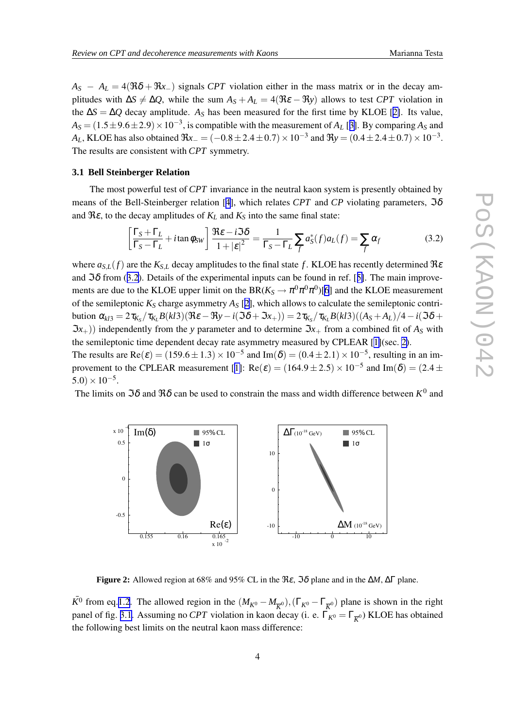<span id="page-3-0"></span> $A_S - A_L = 4(\Re \delta + \Re x)$  signals *CPT* violation either in the mass matrix or in the decay amplitudes with  $\Delta S \neq \Delta Q$ , while the sum  $A_S + A_L = 4(\Re \varepsilon - \Re y)$  allows to test *CPT* violation in the  $\Delta S = \Delta Q$  decay amplitude. A<sub>S</sub> has been measured for the first time by KLOE [[2\]](#page-8-0). Its value,  $A_S = (1.5 \pm 9.6 \pm 2.9) \times 10^{-3}$  $A_S = (1.5 \pm 9.6 \pm 2.9) \times 10^{-3}$  $A_S = (1.5 \pm 9.6 \pm 2.9) \times 10^{-3}$ , is compatible with the measurement of  $A_L$  [3]. By comparing  $A_S$  and *A*<sub>*L*</sub>, KLOE has also obtained  $\Re x_-=(-0.8\pm 2.4\pm 0.7)\times 10^{-3}$  and  $\Re y=(0.4\pm 2.4\pm 0.7)\times 10^{-3}$ . The results are consistent with *CPT* symmetry.

#### **3.1 Bell Steinberger Relation**

The most powerful test of *CPT* invariance in the neutral kaon system is presently obtained by means of the Bell-Steinberger relation [[4](#page-8-0)], which relates *CPT* and *CP* violating parameters,  $\Im\delta$ and  $\Re \varepsilon$ , to the decay amplitudes of  $K_L$  and  $K_S$  into the same final state:

$$
\left[\frac{\Gamma_S + \Gamma_L}{\Gamma_S - \Gamma_L} + i \tan \phi_{SW}\right] \frac{\Re \varepsilon - i \Im \delta}{1 + |\varepsilon|^2} = \frac{1}{\Gamma_S - \Gamma_L} \sum_f a_S^*(f) a_L(f) = \sum_f \alpha_f \tag{3.2}
$$

where  $a_{S,L}(f)$  are the  $K_{S,L}$  decay amplitudes to the final state *f*. KLOE has recently determined  $\Re \varepsilon$ and  $\Im \delta$  from (3.2). Details of the experimental inputs can be found in ref. [[5\]](#page-8-0). The main improvements are due to the KLOE upper limit on the  $BR(K_S \to \pi^0 \pi^0 \pi^0)[6]$  $BR(K_S \to \pi^0 \pi^0 \pi^0)[6]$  $BR(K_S \to \pi^0 \pi^0 \pi^0)[6]$  and the KLOE measurement of the semileptonic  $K_S$  charge asymmetry  $A_S$  [[2\]](#page-8-0), which allows to calculate the semileptonic contribution  $\alpha_{kl3} = 2\tau_{K_S}/\tau_{K_L}B(kl3)(\Re\varepsilon - \Re y - i(\Im\delta + \Im x_+)) = 2\tau_{K_S}/\tau_{K_L}B(kl3)((A_S + A_L)/4 - i(\Im\delta + \Im x))$  $(\mathfrak{X}_{\mathcal{X}_+})$ ) independently from the *y* parameter and to determine  $\mathfrak{X}_{\mathcal{X}_+}$  from a combined fit of  $A_S$  with the semileptonic time dependent decay rate asymmetry measured by CPLEAR [[1\]](#page-8-0)(sec. [2\)](#page-1-0).

The results are  $Re(\varepsilon) = (159.6 \pm 1.3) \times 10^{-5}$  and Im( $\delta$ ) =  $(0.4 \pm 2.1) \times 10^{-5}$ , resulting in an im-provement to the CPLEAR measurement [[1\]](#page-8-0):  $\text{Re}(\varepsilon) = (164.9 \pm 2.5) \times 10^{-5}$  and Im( $\delta$ ) = (2.4 ±  $(5.0) \times 10^{-5}$ .

The limits on  $\Im \delta$  and  $\Re \delta$  can be used to constrain the mass and width difference between  $K^0$  and



**Figure 2:** Allowed region at 68% and 95% CL in the  $\Re \varepsilon$ ,  $\Im \delta$  plane and in the  $\Delta M$ ,  $\Delta \Gamma$  plane.

 $\bar{K}^0$  from eq.[1.2](#page-1-0). The allowed region in the  $(M_{K^0} - M_{\overline{K}^0})$ ,  $(\Gamma_{K^0} - \Gamma_{\overline{K}^0})$  plane is shown in the right panel of fig. 3.1. Assuming no *CPT* violation in kaon decay (i. e.  $\Gamma_{K^0} = \Gamma_{\overline{K}^0}$ ) KLOE has obtained the following best limits on the neutral kaon mass difference: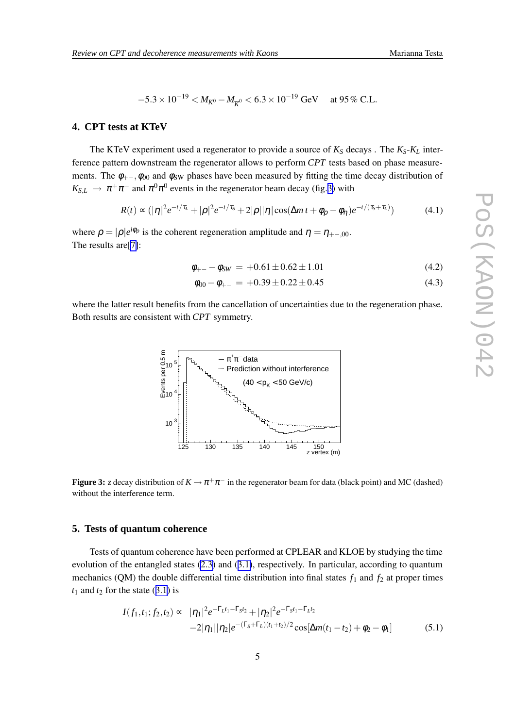$$
-5.3 \times 10^{-19} < M_{K^0} - M_{\overline{K}^0} < 6.3 \times 10^{-19} \text{ GeV} \quad \text{at } 95\% \text{ C.L.}
$$

### <span id="page-4-0"></span>**4. CPT tests at KTeV**

The KTeV experiment used a regenerator to provide a source of  $K_S$  decays. The  $K_S$ - $K_L$  interference pattern downstream the regenerator allows to perform *CPT* tests based on phase measurements. The  $\phi_{+-}$ ,  $\phi_{00}$  and  $\phi_{SW}$  phases have been measured by fitting the time decay distribution of  $K_{S,L} \rightarrow \pi^+\pi^-$  and  $\pi^0\pi^0$  events in the regenerator beam decay (fig.3) with

$$
R(t) \propto (|\eta|^2 e^{-t/\tau_L} + |\rho|^2 e^{-t/\tau_S} + 2|\rho||\eta| \cos(\Delta m t + \phi_\rho - \phi_\eta) e^{-t/(\tau_S + \tau_L)})
$$
(4.1)

where  $\rho = |\rho|e^{i\phi_\rho}$  is the coherent regeneration amplitude and  $\eta = \eta_{+-,00}$ . The results are[\[7\]](#page-8-0):

$$
\phi_{+-} - \phi_{SW} = +0.61 \pm 0.62 \pm 1.01 \tag{4.2}
$$

$$
\phi_{00} - \phi_{+-} = +0.39 \pm 0.22 \pm 0.45 \tag{4.3}
$$

where the latter result benefits from the cancellation of uncertainties due to the regeneration phase. Both results are consistent with *CPT* symmetry.



**Figure 3:** *z* decay distribution of  $K \to \pi^+\pi^-$  in the regenerator beam for data (black point) and MC (dashed) without the interference term.

# **5. Tests of quantum coherence**

Tests of quantum coherence have been performed at CPLEAR and KLOE by studying the time evolution of the entangled states ([2.3\)](#page-1-0) and ([3.1\)](#page-2-0), respectively. In particular, according to quantum mechanics (QM) the double differential time distribution into final states  $f_1$  and  $f_2$  at proper times  $t_1$  and  $t_2$  for the state ([3.1](#page-2-0)) is

$$
I(f_1, t_1; f_2, t_2) \propto |\eta_1|^2 e^{-\Gamma_L t_1 - \Gamma_S t_2} + |\eta_2|^2 e^{-\Gamma_S t_1 - \Gamma_L t_2}
$$
  
-2|\eta\_1||\eta\_2|e^{-(\Gamma\_S + \Gamma\_L)(t\_1 + t\_2)/2} \cos[\Delta m(t\_1 - t\_2) + \phi\_2 - \phi\_1] (5.1)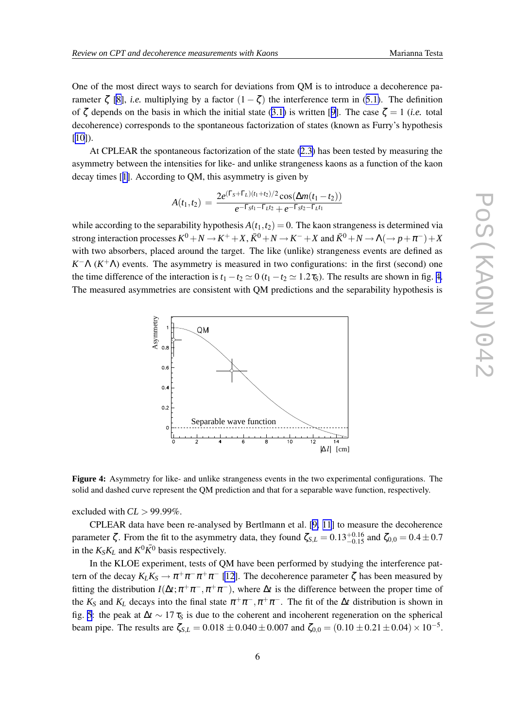One of the most direct ways to search for deviations from QM is to introduce a decoherence parameter  $\zeta$  [\[8\]](#page-8-0), *i.e.* multiplying by a factor  $(1 - \zeta)$  the interference term in ([5.1\)](#page-4-0). The definition of  $\zeta$  depends on the basis in which the initial state ([3.1\)](#page-2-0) is written [[9\]](#page-8-0). The case  $\zeta = 1$  (*i.e.* total decoherence) corresponds to the spontaneous factorization of states (known as Furry's hypothesis  $[10]$  $[10]$ ).

At CPLEAR the spontaneous factorization of the state [\(2.3\)](#page-1-0) has been tested by measuring the asymmetry between the intensities for like- and unlike strangeness kaons as a function of the kaon decay times [[1\]](#page-8-0). According to QM, this asymmetry is given by

$$
A(t_1,t_2) = \frac{2e^{(\Gamma_S + \Gamma_L)(t_1+t_2)/2}\cos(\Delta m(t_1-t_2))}{e^{-\Gamma_S t_1 - \Gamma_L t_2} + e^{-\Gamma_S t_2 - \Gamma_L t_1}}
$$

while according to the separability hypothesis  $A(t_1, t_2) = 0$ . The kaon strangeness is determined via strong interaction processes  $K^0 + N \to K^+ + X$ ,  $\bar{K}^0 + N \to K^- + X$  and  $\bar{K}^0 + N \to \Lambda(\to p + \pi^-) + X$ with two absorbers, placed around the target. The like (unlike) strangeness events are defined as  $K<sup>-</sup>\Lambda$  ( $K<sup>+</sup>\Lambda$ ) events. The asymmetry is measured in two configurations: in the first (second) one the time difference of the interaction is  $t_1 - t_2 \simeq 0$  ( $t_1 - t_2 \simeq 1.2\tau_s$ ). The results are shown in fig. 4. The measured asymmetries are consistent with QM predictions and the separability hypothesis is



**Figure 4:** Asymmetry for like- and unlike strangeness events in the two experimental configurations. The solid and dashed curve represent the QM prediction and that for a separable wave function, respectively.

excluded with  $CL > 99.99\%$ .

CPLEAR data have been re-analysed by Bertlmann et al. [[9,](#page-8-0) [11](#page-8-0)] to measure the decoherence parameter  $\zeta$ . From the fit to the asymmetry data, they found  $\zeta_{S,L} = 0.13_{-0.15}^{+0.16}$  and  $\zeta_{0,0} = 0.4 \pm 0.7$ in the  $K_S K_L$  and  $K^0 \overline{K}{}^0$  basis respectively.

In the KLOE experiment, tests of QM have been performed by studying the interference pattern of the decay  $K_L K_S \to \pi^+ \pi^- \pi^+ \pi^-$  [\[12](#page-8-0)]. The decoherence parameter  $\zeta$  has been measured by fitting the distribution  $I(\Delta t; \pi^+\pi^-, \pi^+\pi^-)$ , where  $\Delta t$  is the difference between the proper time of the  $K_S$  and  $K_L$  decays into the final state  $\pi^+\pi^-, \pi^+\pi^-$ . The fit of the  $\Delta t$  distribution is shown in fig. [5](#page-6-0): the peak at  $\Delta t \sim 17 \tau_s$  is due to the coherent and incoherent regeneration on the spherical beam pipe. The results are  $\zeta_{S,L} = 0.018 \pm 0.040 \pm 0.007$  and  $\zeta_{0,0} = (0.10 \pm 0.21 \pm 0.04) \times 10^{-5}$ .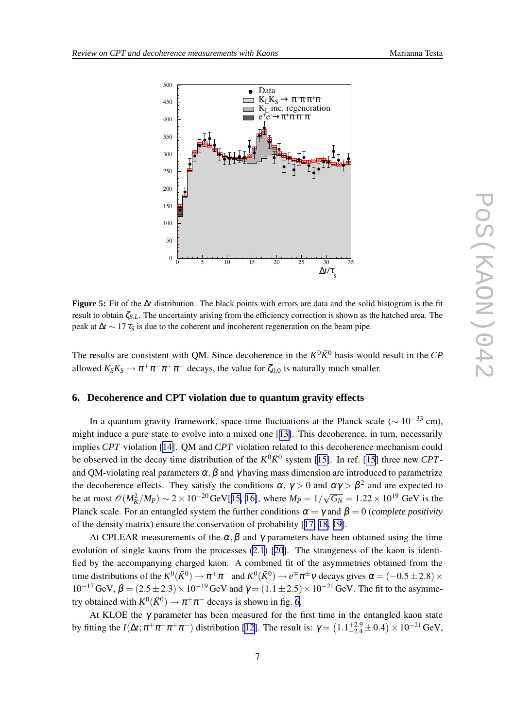<span id="page-6-0"></span>

**Figure 5:** Fit of the ∆*t* distribution. The black points with errors are data and the solid histogram is the fit result to obtain ζ*S*,*L*. The uncertainty arising from the efficiency correction is shown as the hatched area. The peak at ∆*t* ∼ 17<sup>τ</sup>*<sup>S</sup>* is due to the coherent and incoherent regeneration on the beam pipe.

The results are consistent with QM. Since decoherence in the  $K^0 \bar{K}^0$  basis would result in the *CP* allowed  $K_S K_S \to \pi^+ \pi^- \pi^+ \pi^-$  decays, the value for  $\zeta_{0,0}$  is naturally much smaller.

#### **6. Decoherence and CPT violation due to quantum gravity effects**

In a quantum gravity framework, space-time fluctuations at the Planck scale ( $\sim 10^{-33}$  cm), might induce a pure state to evolve into a mixed one [[13\]](#page-8-0). This decoherence, in turn, necessarily implies *CPT* violation [[14\]](#page-8-0). QM and *CPT* violation related to this decoherence mechanism could be observed in the decay time distribution of the  $K^0 \bar{K}^0$  system [[15\]](#page-8-0). In ref. [\[15\]](#page-8-0) three new *CPT*and QM-violating real parameters  $\alpha$ ,  $\beta$  and  $\gamma$  having mass dimension are introduced to parametrize the decoherence effects. They satisfy the conditions  $\alpha$ ,  $\gamma > 0$  and  $\alpha \gamma > \beta^2$  and are expected to be at most  $\mathcal{O}(M_K^2/M_P) \sim 2 \times 10^{-20} \text{ GeV} [15, 16]$  $\mathcal{O}(M_K^2/M_P) \sim 2 \times 10^{-20} \text{ GeV} [15, 16]$  $\mathcal{O}(M_K^2/M_P) \sim 2 \times 10^{-20} \text{ GeV} [15, 16]$  $\mathcal{O}(M_K^2/M_P) \sim 2 \times 10^{-20} \text{ GeV} [15, 16]$ , where  $M_P = 1/\sqrt{G_N} = 1.22 \times 10^{19} \text{ GeV}$  is the Planck scale. For an entangled system the further conditions  $\alpha = \gamma$  and  $\beta = 0$  (*complete positivity* of the density matrix) ensure the conservation of probability [[17,](#page-8-0) [18,](#page-8-0) [19](#page-8-0)].

At CPLEAR measurements of the  $\alpha, \beta$  and  $\gamma$  parameters have been obtained using the time evolution of single kaons from the processes [\(2.1\)](#page-1-0) [[20\]](#page-8-0). The strangeness of the kaon is identified by the accompanying charged kaon. A combined fit of the asymmetries obtained from the time distributions of the  $K^0(\bar{K}^0) \to \pi^+\pi^-$  and  $K^0(\bar{K}^0) \to e^{\mp}\pi^{\pm}\nu$  decays gives  $\alpha = (-0.5 \pm 2.8) \times$  $10^{-17}$  GeV,  $\beta = (2.5 \pm 2.3) \times 10^{-19}$  GeV and  $\gamma = (1.1 \pm 2.5) \times 10^{-21}$  GeV. The fit to the asymmetry obtained with  $K^0(\bar{K}^0) \to \pi^+\pi^-$  decays is shown in fig. [6](#page-7-0).

At KLOE the  $\gamma$  parameter has been measured for the first time in the entangled kaon state by fitting the  $I(\Delta t; \pi^+\pi^-\pi^+\pi^-)$  distribution [\[12\]](#page-8-0). The result is:  $\gamma = (1.1^{+2.9}_{-2.4} \pm 0.4) \times 10^{-21}$  GeV,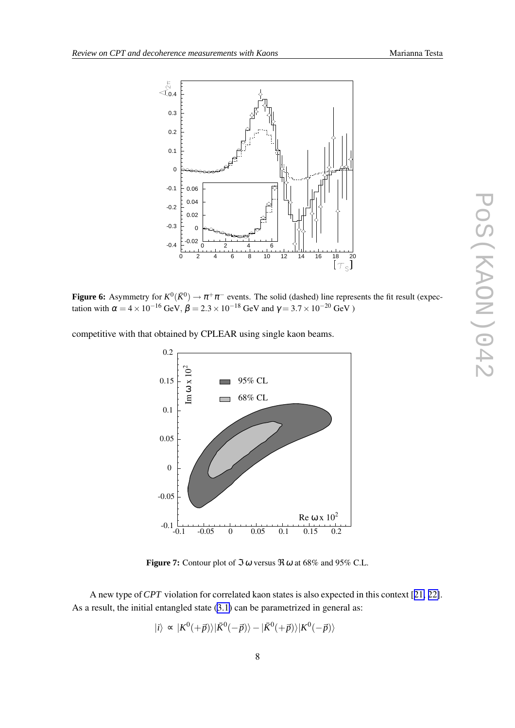

<span id="page-7-0"></span>

**Figure 6:** Asymmetry for  $K^0(\bar{K}^0) \to \pi^+\pi^-$  events. The solid (dashed) line represents the fit result (expectation with  $\alpha = 4 \times 10^{-16}$  GeV,  $\beta = 2.3 \times 10^{-18}$  GeV and  $\gamma = 3.7 \times 10^{-20}$  GeV)

competitive with that obtained by CPLEAR using single kaon beams.



**Figure 7:** Contour plot of  $\Im \omega$  versus  $\Re \omega$  at 68% and 95% C.L.

A new type of*CPT* violation for correlated kaon states is also expected in this context [[21,](#page-8-0) [22\]](#page-8-0). As a result, the initial entangled state  $(3.1)$  $(3.1)$  can be parametrized in general as:

$$
|i\rangle \propto |K^0(+\vec{p})\rangle |\bar{K}^0(-\vec{p})\rangle - |\bar{K}^0(+\vec{p})\rangle |K^0(-\vec{p})\rangle
$$